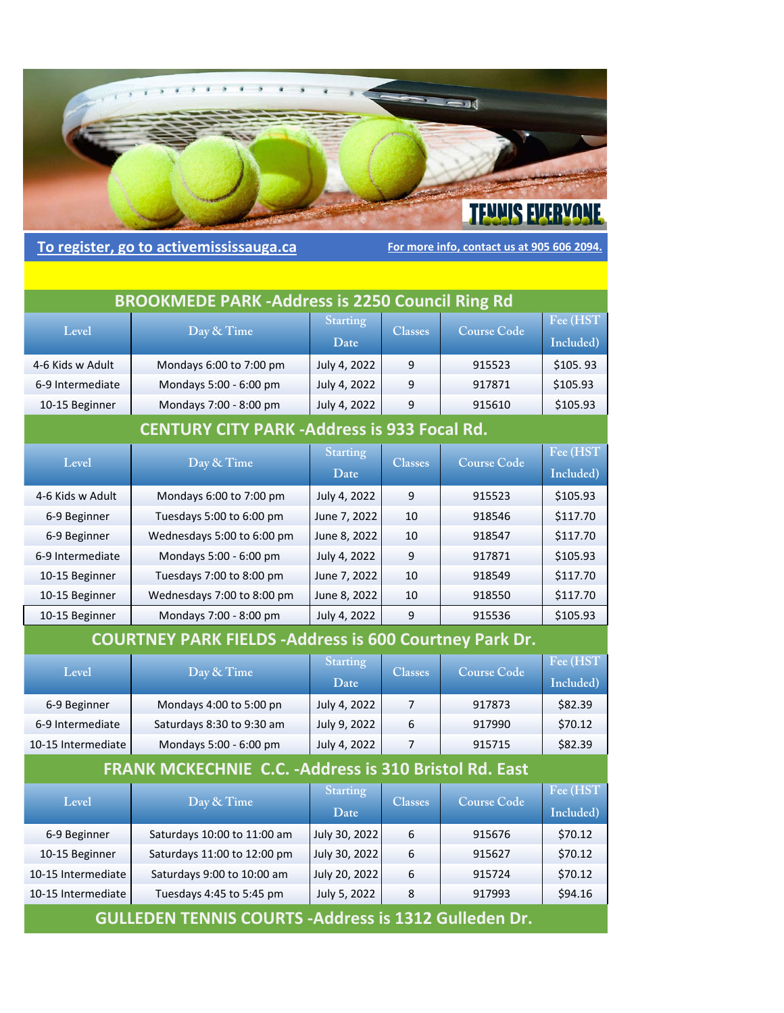

To register, go to activemississauga.ca **For more info, contact us at 905 606 2094**.

| <b>BROOKMEDE PARK-Address is 2250 Council Ring Rd</b> |                                                                |                         |                |                    |                        |
|-------------------------------------------------------|----------------------------------------------------------------|-------------------------|----------------|--------------------|------------------------|
| Level                                                 | Day & Time                                                     | <b>Starting</b><br>Date | <b>Classes</b> | <b>Course Code</b> | Fee (HST)<br>Included) |
| 4-6 Kids w Adult                                      | Mondays 6:00 to 7:00 pm                                        | July 4, 2022            | 9              | 915523             | \$105.93               |
| 6-9 Intermediate                                      | Mondays 5:00 - 6:00 pm                                         | July 4, 2022            | 9              | 917871             | \$105.93               |
| 10-15 Beginner                                        | Mondays 7:00 - 8:00 pm                                         | July 4, 2022            | 9              | 915610             | \$105.93               |
|                                                       | <b>CENTURY CITY PARK -Address is 933 Focal Rd.</b>             |                         |                |                    |                        |
| Level                                                 | Day & Time                                                     | <b>Starting</b><br>Date | <b>Classes</b> | <b>Course Code</b> | Fee (HST<br>Included)  |
| 4-6 Kids w Adult                                      | Mondays 6:00 to 7:00 pm                                        | July 4, 2022            | 9              | 915523             | \$105.93               |
| 6-9 Beginner                                          | Tuesdays 5:00 to 6:00 pm                                       | June 7, 2022            | 10             | 918546             | \$117.70               |
| 6-9 Beginner                                          | Wednesdays 5:00 to 6:00 pm                                     | June 8, 2022            | 10             | 918547             | \$117.70               |
| 6-9 Intermediate                                      | Mondays 5:00 - 6:00 pm                                         | July 4, 2022            | 9              | 917871             | \$105.93               |
| 10-15 Beginner                                        | Tuesdays 7:00 to 8:00 pm                                       | June 7, 2022            | 10             | 918549             | \$117.70               |
| 10-15 Beginner                                        | Wednesdays 7:00 to 8:00 pm                                     | June 8, 2022            | 10             | 918550             | \$117.70               |
| 10-15 Beginner                                        | Mondays 7:00 - 8:00 pm                                         | July 4, 2022            | 9              | 915536             | \$105.93               |
|                                                       | <b>COURTNEY PARK FIELDS - Address is 600 Courtney Park Dr.</b> |                         |                |                    |                        |
| Level                                                 | Day & Time                                                     | <b>Starting</b><br>Date | <b>Classes</b> | <b>Course Code</b> | Fee (HST<br>Included)  |
| 6-9 Beginner                                          | Mondays 4:00 to 5:00 pn                                        | July 4, 2022            | 7              | 917873             | \$82.39                |
| 6-9 Intermediate                                      | Saturdays 8:30 to 9:30 am                                      | July 9, 2022            | 6              | 917990             | \$70.12                |
| 10-15 Intermediate                                    | Mondays 5:00 - 6:00 pm                                         | July 4, 2022            | 7              | 915715             | \$82.39                |
|                                                       | <b>FRANK MCKECHNIE C.C. - Address is 310 Bristol Rd. East</b>  |                         |                |                    |                        |
| Level                                                 | Day & Time                                                     | <b>Starting</b><br>Date | <b>Classes</b> | <b>Course Code</b> | Fee (HST<br>Included)  |
| 6-9 Beginner                                          | Saturdays 10:00 to 11:00 am                                    | July 30, 2022           | 6              | 915676             | \$70.12                |
| 10-15 Beginner                                        | Saturdays 11:00 to 12:00 pm                                    | July 30, 2022           | 6              | 915627             | \$70.12                |
| 10-15 Intermediate                                    | Saturdays 9:00 to 10:00 am                                     | July 20, 2022           | 6              | 915724             | \$70.12                |
| 10-15 Intermediate                                    | Tuesdays 4:45 to 5:45 pm                                       | July 5, 2022            | 8              | 917993             | \$94.16                |

**GULLEDEN TENNIS COURTS ‐Address is 1312 Gulleden Dr.**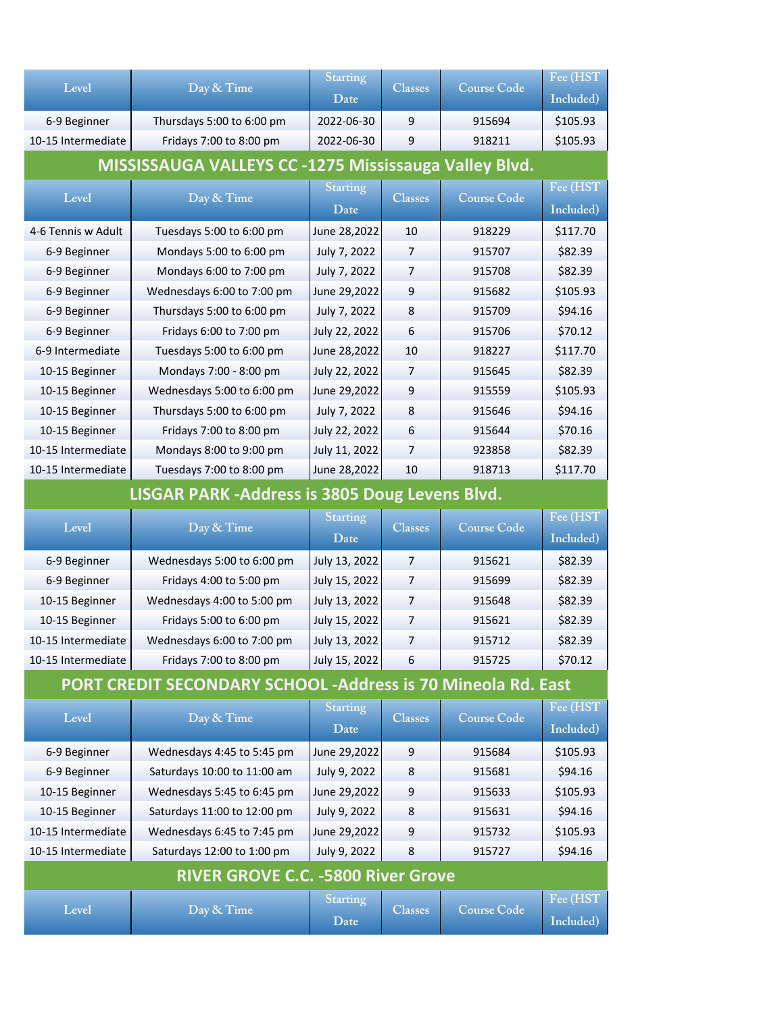| Level                                                 | Day & Time                 | <b>Starting</b> | <b>Classes</b> | <b>Course Code</b> | Fee (HST  |
|-------------------------------------------------------|----------------------------|-----------------|----------------|--------------------|-----------|
|                                                       |                            | Date            |                |                    | Included) |
| 6-9 Beginner                                          | Thursdays 5:00 to 6:00 pm  | 2022-06-30      | 9              | 915694             | \$105.93  |
| 10-15 Intermediate                                    | Fridays 7:00 to 8:00 pm    | 2022-06-30      | 9              | 918211             | \$105.93  |
| MISSISSAUGA VALLEYS CC -1275 Mississauga Valley Blvd. |                            |                 |                |                    |           |
| Level                                                 |                            | <b>Starting</b> | <b>Classes</b> | <b>Course Code</b> | Fee (HST) |
|                                                       | Day & Time                 | Date            |                |                    | Included) |
| 4-6 Tennis w Adult                                    | Tuesdays 5:00 to 6:00 pm   | June 28,2022    | 10             | 918229             | \$117.70  |
| 6-9 Beginner                                          | Mondays 5:00 to 6:00 pm    | July 7, 2022    | 7              | 915707             | \$82.39   |
| 6-9 Beginner                                          | Mondays 6:00 to 7:00 pm    | July 7, 2022    | 7              | 915708             | \$82.39   |
| 6-9 Beginner                                          | Wednesdays 6:00 to 7:00 pm | June 29,2022    | 9              | 915682             | \$105.93  |
| 6-9 Beginner                                          | Thursdays 5:00 to 6:00 pm  | July 7, 2022    | 8              | 915709             | \$94.16   |
| 6-9 Beginner                                          | Fridays 6:00 to 7:00 pm    | July 22, 2022   | 6              | 915706             | \$70.12   |
| 6-9 Intermediate                                      | Tuesdays 5:00 to 6:00 pm   | June 28,2022    | 10             | 918227             | \$117.70  |
| 10-15 Beginner                                        | Mondays 7:00 - 8:00 pm     | July 22, 2022   | 7              | 915645             | \$82.39   |
| 10-15 Beginner                                        | Wednesdays 5:00 to 6:00 pm | June 29,2022    | 9              | 915559             | \$105.93  |
| 10-15 Beginner                                        | Thursdays 5:00 to 6:00 pm  | July 7, 2022    | 8              | 915646             | \$94.16   |
| 10-15 Beginner                                        | Fridays 7:00 to 8:00 pm    | July 22, 2022   | 6              | 915644             | \$70.16   |
| 10-15 Intermediate                                    | Mondays 8:00 to 9:00 pm    | July 11, 2022   | 7              | 923858             | \$82.39   |
| 10-15 Intermediate                                    | Tuesdays 7:00 to 8:00 pm   | June 28,2022    | 10             | 918713             | \$117.70  |
|                                                       |                            |                 |                |                    |           |

## **LISGAR PARK ‐Address is 3805 Doug Levens Blvd.**

| Level              | Day & Time                 | <b>Starting</b><br>Date | <b>Classes</b> | <b>Course Code</b> | Fee (HST)<br>Included) |
|--------------------|----------------------------|-------------------------|----------------|--------------------|------------------------|
| 6-9 Beginner       | Wednesdays 5:00 to 6:00 pm | July 13, 2022           | 7              | 915621             | \$82.39                |
| 6-9 Beginner       | Fridays 4:00 to 5:00 pm    | July 15, 2022           | 7              | 915699             | \$82.39                |
| 10-15 Beginner     | Wednesdays 4:00 to 5:00 pm | July 13, 2022           | 7              | 915648             | \$82.39                |
| 10-15 Beginner     | Fridays 5:00 to 6:00 pm    | July 15, 2022           | 7              | 915621             | \$82.39                |
|                    |                            |                         | 7              |                    |                        |
| 10-15 Intermediate | Wednesdays 6:00 to 7:00 pm | July 13, 2022           |                | 915712             | \$82.39                |
| 10-15 Intermediate | Fridays 7:00 to 8:00 pm    | July 15, 2022           | 6              | 915725             | \$70.12                |

## **PORT CREDIT SECONDARY SCHOOL ‐Address is 70 Mineola Rd. East**

| Level                                     | Day & Time                  | <b>Starting</b><br>Date | <b>Classes</b> | <b>Course Code</b> | Fee (HST<br>Included) |  |
|-------------------------------------------|-----------------------------|-------------------------|----------------|--------------------|-----------------------|--|
| 6-9 Beginner                              | Wednesdays 4:45 to 5:45 pm  | June 29,2022            | 9              | 915684             | \$105.93              |  |
| 6-9 Beginner                              | Saturdays 10:00 to 11:00 am | July 9, 2022            | 8              | 915681             | \$94.16               |  |
| 10-15 Beginner                            | Wednesdays 5:45 to 6:45 pm  | June 29,2022            | 9              | 915633             | \$105.93              |  |
| 10-15 Beginner                            | Saturdays 11:00 to 12:00 pm | July 9, 2022            | 8              | 915631             | \$94.16               |  |
| 10-15 Intermediate                        | Wednesdays 6:45 to 7:45 pm  | June 29,2022            | 9              | 915732             | \$105.93              |  |
| 10-15 Intermediate                        | Saturdays 12:00 to 1:00 pm  | July 9, 2022            | 8              | 915727             | \$94.16               |  |
| <b>RIVER GROVE C.C. -5800 River Grove</b> |                             |                         |                |                    |                       |  |
| Level                                     | Day & Time                  | <b>Starting</b>         | <b>Classes</b> | <b>Course Code</b> | Fee (HST              |  |
|                                           |                             | Date                    |                |                    | Included)             |  |